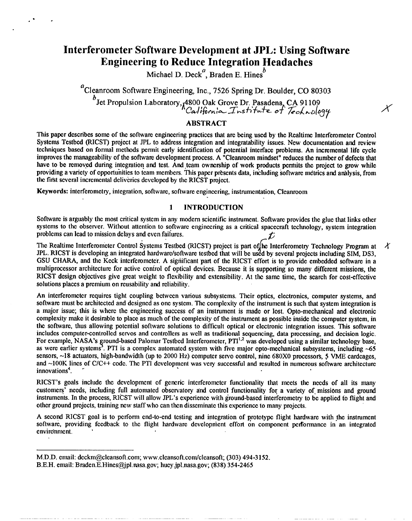# **Interferometer Software Development at JPL: Using Software Engineering to Reduce Integration Headaches**

Michael D. Deck<sup>a</sup>, Braden E. Hines<sup>b</sup>

'Cleanroom Software Engineering, Inc., 7526 Spring Dr. Boulder, CO 80303

Jet Propulsion Laboratory,  $4800$  Oak Grove Dr. Pasadena, CA 91109 '~cJi&%:\* g--M-'e-e *0+ Z&kyy <sup>x</sup>*

# **ABSTRACT**

This paper describes some of the software engineering practices that are being used by the Realtime Interferometer Control Systems Testbed (RICST) project at JPL to address integration and integratability issues. New documentation and review techniques based on formal methods permit early identification of potential interface problems. An incremental life cycle improves the manageability of the software development process. A "Cleanroom mindset" reduees the number of defects that have to be removed during integration and test. And team ownership of work products permits the project to grow while providing a variety of opportunities to team members. This paper presents data, including software metrics and analysis, from the first several incremental deliveries developed by the RICST project.

Keywords: interferometry, integration, software, software engineering, instrumentation, Cleanroom

. .  $\cdot$  .

.

# **1 INTRODUCTION**

Software is arguably the most critical system in any modem scientific instrument. Software provides the glue that links other systems to the observer. Without attention to software engineering as a critical spacecraft technology, system integration problems can lead to mission delays and even failures. t

The Realtime Interferometer Control Systems Testbed (RICST) project is part of the Interferometry Technology Program at  $\chi$ JPL. RICST is developing an integrated hardware/software testbed that will be used by several projects including SIM, DS3, GSU CHARA, and the Keck interferometer. A significant part of the RICST effort is to provide embedded software in a multiprocessor architecture for active control of optical devices. Because it is supporting so many different missions, the RICST design objectives give great weight to flexibility and extensibility. At the same time, the search for cost-effeetive solutions places a premium on reusability and reliability.

An interferometer requires tight coupling between various subsystems. Their optics, electronics, computer systems, and software must be architected and designed as one system. The complexity of the instrument is such that system integration is a major issue; this is where the engineering success of an instrument is made or lost. Opto-mechanical and electronic complexity make it desirable to place as much of the complexity of the instmment as possible inside the computer system, in the software, thus allowing potential software solutions to difficult optical or electronic integration issues. This software includes computer-controlled servos and controllers as well as traditional sequencing, data processing, and decision logic. For example, NASA's ground-based Palomar Testbed Interferometer,  $PT1^{1,2}$  was developed using a similar technology base, as were earlier systems<sup>3</sup>. PTI is a complex automated system with five major opto-mechanical subsystems, including  $\sim 65$ sensors,  $\sim$ 18 actuators, high-bandwidth (up to 2000 Hz) computer servo control, nine 680X0 processors, 5 VME cardcages, and ~100K lines of C/C++ code. The PTI development was very successful and resulted in numerous software architecture<br>innovations<sup>4</sup> innovations<sup>4</sup>.

RICST'S goals include the development of generic interferometer functionality that meets the needs of all its many customers' needs, including full automated observatory and control functionality for a variety of missions and ground instruments. In the process, RICST will allow JPL's experience with ground-based interferometry to be applied to flight and other ground projects, training new staff who can then disseminate this experience to many projects.

A second RICST goal is to perform end-to-end testing and integration of prototype flight hardware with the instrument software, providing feedback to the flight hardware development effort on component performance in an integrated environment.

M.D.D. email: deckm@cleansoft.com; www.cleansoft.com/cleansoft; (303) 494-3152. B.E.H. email: Braden.E.Hines@jpl.nasa.gov; huey.jpl.nasa.gov; (838) 354-2465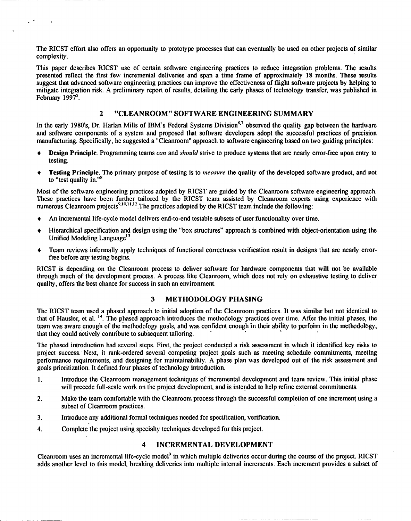The RICST effort also offers an opportunity to prototype processes that can eventually be used on other projects of similar complexity.

. .

This paper describes RICST use of certain software engineering practices to reduce integration problems. The results presented reflect the first few incremental deliveries and span a time frame of approximately 18 months. These results suggest that advanced software engineering practices can improve the effectiveness of flight software projects by helping to mitigate integration risk. A preliminary report of results, detailing the early phases of technology transfer, was published in February 1997<sup>5</sup>.

# **2 "CLEANROOM" SOFTWARE ENGINEERING SUMMARY**

In the early 1980's, Dr. Harlan Mills of IBM's Federal Systems Division<sup>6,7</sup> observed the quality gap between the hardware and software components of a system and proposed that software developers adopt the successful practices of precision manufacturing. Specifically, he suggested a "Cleanroom" approach to software engineering based on two guiding principles:

- **+** Design Principle. Programming teams can and should strive to produce systems that are nearly error-free upon entry to testing.
- **Testing Principle.** The primary purpose of testing is to *measure* the quality of the developed software product, and not to "test quality in."<sup>8</sup>

Most of the software engineering practices adopted by RICST are guided by the Cleanmom software engineering approach. These practices have been further tailored by the RICST team assisted by Cleanroom experts using experience with numerous Cleanroom projects<sup>9,10,11,12</sup>. The practices adopted by the RICST team include the following:

- An incremental life-cycle model delivers end-to-end testable subsets of user functionality over time.
- + Hierarchical specification and design using the "box structures" approach is combined with object-orientation using the Unified Modeling Language<sup>13</sup>.
- + Team reviews informally apply techniques of functional correctness veritlcation result in designs that are nearly errorfree before any testing begins.

RICST is depending on the Cleanroom process to deliver software for hardware components that will not be available through much of the development process. A process like Cleanroom, which does not rely on exhaustive testing to deliver quality, offers the best chance for success in such an environment,

# 3 METHODOLOGY PHASING

The RICST team used a phased approach to initial adoption of the Cleanroom practices, It was similar but not identical to that of Hausler, et al.  $^{14}$ . The phased approach introduces the methodology practices over time. After the initial phases, the team was aware enough of the methodology goals, and was confident enough in their ability to perform in the methodology,<br>that thay could actively contribute to subsequent tailoring that they could actively contribute to subsequent tailoring.

The phased introduction had several steps. First, the project conducted a risk assessment in which it identified key risks to project success. Next, it rank-ordered several competing project goals such as meeting schedule commitments, meeting performance requirements, and designing for maintainability. A phase plan was developed out of the risk assessment and goals prioritization. It defined four phases of technology introduction.

- 1. Introduce the Cieanroom management techniques of incremental development and team review. This initial phase will precede full-scale work on the project development, and is intended to help refine external commitments.
- 2. Make the team comfortable with the Cleanroom process through the successful completion of one increment using a subset of Cleanroom practices.
- 3. Introduce any additional formal techniques needed for spccitlcation, verification.
- 4. Complete the project using specialty techniques developed for this project.

# 4 INCREMENTAL DEVELOPMENT

Cleanroom uses an incremental life-cycle model<sup>9</sup> in which multiple deliveries occur during the course of the project. RICST adds another level to this model, breaking deliveries into multiple internal increments. Each increment provides a subset of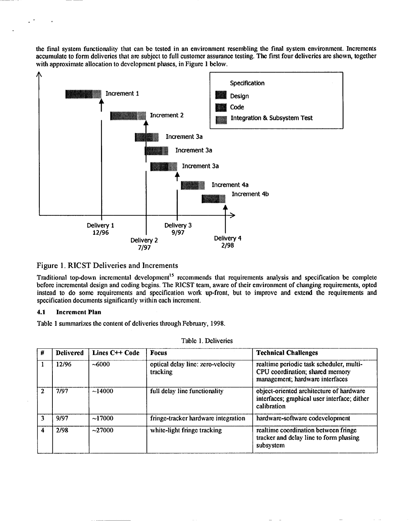the final system functionality that can be tested in an environment resembling the final system environment. Increments accumulate to form deliveries that are subject to full customer assurance testing. The first four deliveries are shown, together with approximate allocation to development phases, in Figure 1 below.



# Figure 1. RICST Deliveries and Increments

Traditional top-down incremental development<sup>15</sup> recommends that requirements analysis and specification be complete before incremental design and coding begins. The RICST team, aware of their environment of changing requirements, opted instead to do some requirements and specification work up-front, but to improve and extend the requirements and specification documents significantly within each increment.

# 4.1 Increment Plan

.-

Table 1 summarizes the content of deliveries through February, 1998.

| # | <b>Delivered</b> | Lines $C++Code$ | <b>Focus</b>                                  | <b>Technical Challenges</b>                                                                                    |
|---|------------------|-----------------|-----------------------------------------------|----------------------------------------------------------------------------------------------------------------|
|   | 12/96            | ~16000          | optical delay line: zero-velocity<br>tracking | realtime periodic task scheduler, multi-<br>CPU coordination; shared memory<br>management; hardware interfaces |
|   | 7/97             | ~14000          | full delay line functionality                 | object-oriented architecture of hardware<br>interfaces; graphical user interface; dither<br>calibration        |
|   | 9/97             | ~17000          | fringe-tracker hardware integration           | hardware-software codevelopment                                                                                |
|   | 2/98             | $\sim$ 27000    | white-light fringe tracking                   | realtime coordination between fringe<br>tracker and delay line to form phasing<br>subsystem                    |

# Table 1. Deliveries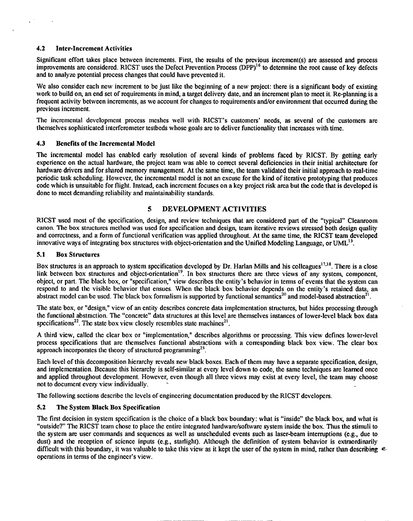#### 4.2 **Inter-Increment Activities**

 $\mathbf{r}$ 

Significant effort takes place between increments. First, the results of the previous increment(s) are assessed and process improvements are considered. RICST uses the Defect Prevention Process  $(DPP)<sup>16</sup>$  to determine the root cause of key defects and to analyze potential process changes that could have prevented it.

We also consider each new increment to be just like the beginning of a new project: there is a significant body of existing work to build on, an end set of requirements in mind, a target delivery date, and an increment plan to meet it. Re-planning is a frequent activity between increments, as we account for changes to requirements and/or environment that occurred during the previous increment.

The incremental development process meshes well with RICST's customers' needs, as several of the customers are themselves sophisticated interferometer testbeds whose goals are to deliver functionality that increases with time.

#### 4.3 **Benefits of the Incremental Model**

**The iwemental** model has enabled early resolution of several kinds of problems faced by RICST. By getting early experience on the actual hardware, the project team was able to correct several deficiencies in their initial architecture for hardware drivers and for shared memory management. At the same time, the team validated their initial approach to real-time periodic task scheduling. However, the incremental model is not an excuse for the kind of itemtive pmtotyping that produces code which is unsuitable for flight, Instead, each increment focuses on a key project risk area but the code that is developed is done to meet demanding reliability and maintainability standards.

# 5 **DEVELOPMENT ACTIVITIES**

RICST used most of the specification, design, and review techniques that are considered part of the "typical" Cleanroom canon. The box structures method was used for specification and design, team iterative reviews stressed both design quality and correctness, and a form of functional verification was applied throughout, At the same time, the RICST team developed innovative ways of integrating box structures with object-orientation and the Unified Modeling Language, or UML<sup>13</sup>.

#### 5.1 **Box Structures**

Box structures is an approach to system specification developed by Dr. Harlan Mills and his colleagues<sup>17,18</sup>. There is a close link between box structures and object-orientation<sup>19</sup>. In box structures there are three views of any system, component, object, or part. The black box, or "specification," view describes the entity's behavior in terms of events that the system can respond to and the visible behavior that ensues. When the black box behavior depends on the entity's retained data, an abstract model can be used. The black box formalism is supported by functional semantics<sup>20</sup> and model-based abstraction<sup>21</sup>.

The state box, or "design," view of an entity describes concrete data implementation structures, but hides processing through the functional abstraction. The "concrete" data structures at this level are themselves instances of lower-level black box data specifications<sup>22</sup>. The state box view closely resembles state machines<sup>21</sup>.

A third view, called the clear box or "implementation," describes algorithms or processing. This view defines lower-level process specitlcations that are themselves functional abstractions with a conesponding black box view. The clear box approach incorporates the theory of structured programming $^{23}$ .

Each level of this decomposition hierarchy reveals new black boxes. Each of them may have a separate specification, design, and implementation. Because this hierarchy is self-similar at every level down to code, the same techniques are learned once and applied throughout development. However, even though all three views may exist at every level, the team may choose not to document every view individually.

The following sections describe the levels of engineering documentation produced by the RICST developers.

# 5.2 **The System Black Box Specification**

The first decision in system specification is the choice of a black box boundary: what is "inside" the black box, and what is "outside?" The RICST team chose to place the entire integrated hardware/software system inside the box. Thus the stimuli to the system ate user commands and sequences as well as unscheduled events such as laser-beam intermptions (e.g., due to dust) and the reception of science inputs (e.g., starlight). Although the definition of system behavior is extraordinarily difficult with this boundary, it was valuable to take this view as it kept the user of the system in mind, rather than describing  $\epsilon$ operations in terms of the engineer's view.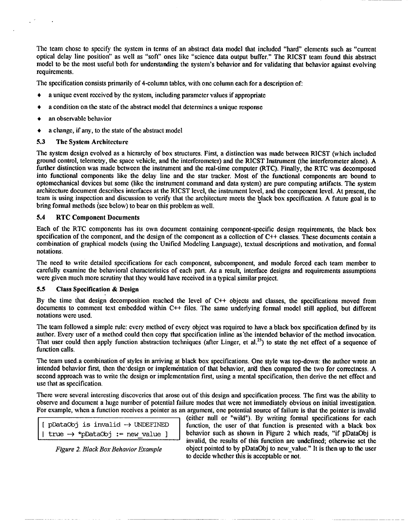The team chose to specify the system in terms of an abstract data model that included "hard" elements such as "current optical delay line position" as well as "soft" ones like "science data output buffer." The RICST team found this abstract model to be the most useful both for understanding the system's behavior and for validating that behavior against evolving requirements<

The specification consists primarily of 4-column tables, with one column each for a description of

- a unique event received by the system, including parameter values if appropriate
- a condition on the state of the abstract model that determines a unique response
- an observable behavior

 $\mathbb{R}^{d-2}$ 

+ a change, if any, to the state of the abstract model

# 5.3 **The System Architecture**

The system design evolved as a hierarchy of box structures. First, a distinction was made between RICST (which included ground control, telemetry, the space vehicle, and the interferometer) and the RICST Instrument (the interferometer alone). A further distinction was made between the instrument and the real-time computer (RTC). Finally, the RTC was decomposed into functional components like the delay line and the star tracker. Most of the functional components are bound to optomechanical devices but some (like the instrument command and data system) me pure computing artifacts. The system architectwe document describes interfaces at the RICST level, the instrument level, and the component level. At present, the team is using inspection and discussion to verify that the architecture meets the black box specification. A future goal is to bring formal methods (see below) to bear on this problem-as well.

### **5.4 RTC Component Documents**

Each of the RTC components has its own document containing component-specific design requirements, the black box specification of the component, and the design of the component as a collection of  $C++$  classes. These documents contain a combination of graphical models (using the Unified Modeling Language), textual descriptions and motivation, and formal notations.

The need to write detailed specifications for each component, subcomponent, and module forced each team member to carefully examine the behavioral characteristics of each part. As a result, interface designs and requirements assumptions were given much more scrutiny that they would have received in a typical similar project.

# 5.s Class **Specification & Design**

By the time that design decomposition reached the level of C++ objects and classes, the specifications moved from documents to comment text embedded within C++ files. The same underlying formal model still applied, but different notations were used.

The team followed a simple rule: every method of every object was required to have a black box specification defined by its author. Every user of a method could then copy that specification inline as the intended behavior of the method invocation. That user could then apply function abstraction techniques (after Linger, et al.<sup>23</sup>) to state the net effect of a sequence of function calls.

The team used a combination of styles in arriving at black box specifications. One style was top-down: the author wrote an intended behavior first, then the design or implementation of that behavior, and then compared the two for correctness. A second approach was to write the design or implementation first, using a mental specification, then derive the net effect and use that as specification.

There were several interesting discoveries that arose out of this design and specification process. The first was the ability to obsewe and document a huge number of potential failure modes that were not immediately obvious on initial investigation. For example, when a function receives a pointer as an argument, one potential source of failure is that the pointer is invalid

| [ $p$ DataObj is invalid $\rightarrow$ UNDEFINED |  |
|--------------------------------------------------|--|
| true $\rightarrow$ *pDataObj := new value ]      |  |

 $\begin{array}{rcl}\n\hline\n\text{2. Black Box Behavior Example}\n\end{array}$  (either null or "wild"). By writing formal specifications for each function, the user of that function is presented with a black box behavior := new\_value ] behavior such as shown in Figure function, the user of that function is presented with a black box behavior such as shown in Figure 2 which reads, "if pDataObj is invalid, the results of this function are undefined; otherwise set the *object pointed to by pDataObj to new\_value." It is then up to the user* to decide whether this is acceptable or not.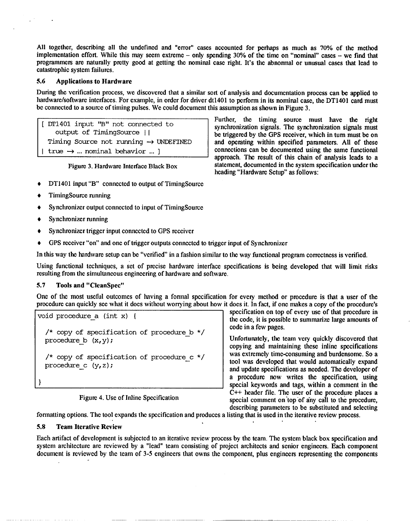All together, describing all the undefined and "error" cases accounted for perhaps as much as 70% of the method implementation effort. While this may seem extreme – only spending 30% of the time on "nominal" cases – we find that programmers are naturally pretty good at getting the nominal case right. It's the abnormal or unusual cases that lead to catastrophic system failures.

#### 5.6 Applications to Hardware

During the verification process, we discovered that a similar sort of analysis and documentation process can be applied to hardware/software interfaces. For example, in order for driver dt1401 to perform in its nominal case, the DT1401 card must be connected to a source of timing pulses. We could document this assumption as shown in Figure 3.

[ DT1401 input "B" not connected to output of TimingSource | | Timing Source not running  $\rightarrow$  UNDEFINED true  $\rightarrow$  ... nominal behavior ... 1

Figure 3. Hardware Interface Black Box

- DT1401 input "B" connected to output of TimingSource
- TimingSource running
- Synchronizer output connected to input of TimingSource
- Synchronizer running
- Synchronizer trigger input connected to GPS receiver
- + GPS receiver "on" and one of trigger outputs connected to trigger input of Synchronizer

In this way the hardware setup can be "verified" in a fashion similar to the way functional program correctness is verified.

Using functional techniques, a set of precise hardware interface specifications is being developed that will limit risks resulting from the simultaneous engineering of hardware and software.

# 5.7 **Tools and "CleanSpec"**

One of the most useful outcomes of having a formal specification for every method or procedure is that a user of the procedure can quickly see what it does without wonying about how it does it. In fact, if one makes a copy of the procedure's

```
void procedure a (int x) {
 /* copy of specification of procedure b */procedure b (x, y);
 /* copy of specification of procedure c * /procedure c (y, z);
}
```
Figure 4. Use of Inline Specification

specification on top of every use of that procedure in the code, it is possible to summarize large amounts of code in a few pages.

Unfofiunately, the team very quickly discovered that copying and maintaining these inline specifications was extremely time-consuming and burdensome. So a tool was developed that would automatically expand and update specifications as needed. The developer of a procedure now writes the specification, using special keywords and tags, within a comment in the C++ header file, The user of the procedure places a special comment on top of any call to the procedure, describing parameters to be substituted and selecting

formatting options. The tool expands the specification and produces a listing that is used in the iterative review process.

—

#### 5.8 **Team Iterative Review**

Each artifact of development is subjected to an iterative review process by the team. The system black box specification and system amhitecture are reviewed by a "lead" team consisting of project architects and senior engineers. Each component document is reviewed by the team of 3-5 engineers that owns the component, plus engineers representing the components

Further, the timing source must have the right synchronization signals. The synchronization signals must be triggered by the GPS receiver, which in turn must be on and operating within specified parameters. All of these connections can be documented using the same functional approach, The result of this chain of analysis leads to a statement, documented in the system specification under the heading "Hardware Setup" as follows: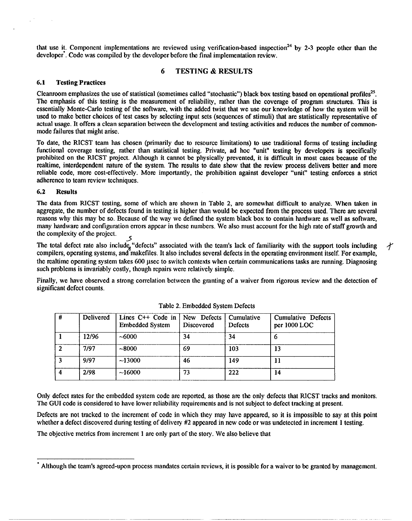that use it. Component implementations are reviewed using verification-based inspection<sup>24</sup> by 2-3 people other than the developer. Code was compiled by the developer before the final implementation review.

# **6 TESTING& RESULTS**

### **6.1 Testing Practices**

Cleanroom emphasizes the use of statistical (sometimes called "stochastic") black box testing based on operational profiles<sup>25</sup>. The emphasis of this testing is the measurement of reliability, rather than the coverage of program structures. This is essentially Monte-Carlo testing of the software, with the added twist that we use our knowledge of how the system will be used to make better choices of test cases by selecting input sets (sequences of stimuli) that are statistically representative of actual usage. It offers a clean separation between the development and testing activities and reduces the number of commonmode failures that might arise.

To date, the RICST team has chosen (primarily due to resource limitations) to use traditional forms of testing imluding functional covemge testing, mther than statistical testing. Private, ad hoc "unit" testing by developers is specifically prohibited on the RICST project. Although it cannot be physically prevented, it is difficult in most cases because of the realtime, interdependent nature of the system. The results to date show that the rwiew process delivers better and more reliable code, more cost-effectively. More importantly, the prohibition against developer "unit" testing enforces a strict adherence to team review techniques.

#### 6.2 **Results**

The data from RICST testing, some of which are shown in Table 2, are somewhat difficult to analyze. When taken in aggregate, the number of defects found in testing is higher than would be expected from the process used. There are several reasons why this may be so. Because of the way we defined the system black box to contain hardware as well as software, many hardware and configuration errors appear in these numbers. We also must account for the high rate of staff growth and the complexity of the project. .<br>ب

The total defect rate also include, "defects" associated with the team's lack of familiarity with the support tools including compilers, operating systems, and makefiles. It also includes several defects in the operating environment itself. For example, the realtime operating system takes 600 usec to switch contexts when certain communications tasks are running. Diagnosing such problems is invariably costly, though repairs were relatively simple.

**4'**

Finally, we have observed a strong correlation between the granting of a waiver from rigorous review and the detection of significant defect counts.

| # | Delivered | Lines $C++$ Code in   New Defects<br><b>Embedded System</b> | Discovered | Cumulative<br>Defects | <b>Cumulative Defects</b><br>per 1000 LOC |
|---|-----------|-------------------------------------------------------------|------------|-----------------------|-------------------------------------------|
|   | 12/96     | ~1000                                                       | 34         | 34                    |                                           |
|   | 7/97      | ~18000                                                      | 69         | 103                   | 13                                        |
|   | 9/97      | ~13000                                                      | 46         | 149                   | 11                                        |
|   | 2/98      | ~16000                                                      | 73         | 222                   | 14                                        |

|  |  | Table 2. Embedded System Defects |  |  |
|--|--|----------------------------------|--|--|
|--|--|----------------------------------|--|--|

Only defect rates for the embedded system code are reported, as those are the only defects that RICST tracks and monitors. The GUI code is considered to have lower reliability requirements and is not subject to defect tracking at present.

Defects are not tracked to the increment of code in which they may have appeared, so it is impossible to say at this point whether a defect discovered during testing of delivery #2 appeared in new code or was undetected in increment 1 testing.

The objective metrics from increment 1 are only part of the story. We also believe that

Although the team's agreed-upon process mandates certain reviews, it is possible for a waiver to be granted by management.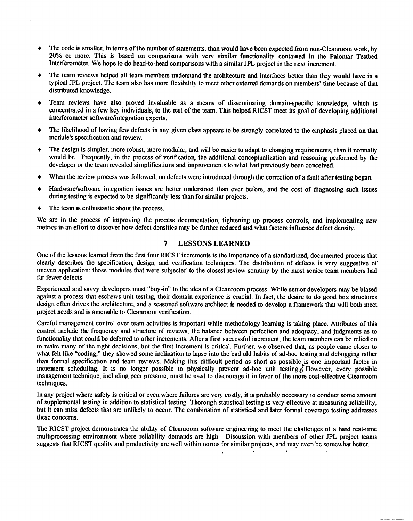- The code is smaller, in terms of the number of statements, than would have been expected from non-Cleanroom work, by 20% or more. This is based on comparisons with very similar functionality contained in the Palomar Testbed Interferometer. We hope to do head-to-head comparisons with a similar JPL project in the next increment,
- The team reviews helped all team members understand the architecture and interfaces better than they would have in a typical JPL project. The team also has more flexibility to meet other external demands on members' time because of that distributed knowledge.
- Team reviews have also proved invaluable as a means of disseminating domain-specific knowledge, which is concentrated in a few key individuals, to the rest of the team. This helped RICST meet its goal of developing additional interferometer software/integration experts.
- The likelihood of having few defects in any given class appears to be strongly correlated to the emphasis placed on that module's specification and review.
- The design is simpler, more robust, more modular, and will be easier to adapt to changing requirements, than it normally would be. Frequently, in the process of verification, the additional conceptualization and reasoning performed by the developer or the team revealed simplifications and improvements to what had previously been conceived.
- When the review process was followed, no defects were introduced through the correction of a fault after testing began.
- Hardware/software integration issues am better understood than ever before, and the cost of diagnosing such issues during testing is expected to be significantly less than for similar projects.
- The team is enthusiastic about the process.  $\bullet$

 $\ddot{\phantom{a}}$ 

We are in the process of improving the process documentation, tightening up process controls, and implementing new metrics in an effort to discover how defect densities may be further reduced and what factors influence defect density.

# 7 LESSONS LEARNED

One of the lessons learned from the first four RICST increments is the importance of a standardized, documented process that clearly describes the specification, design, and verification techniques. The distribution of defects is very suggestive of uneven application: those modules that were subjected to the closest review scrutiny by the most senior team members had far fewer defects.

Experienced and savvy developers must "buy-in" to the idea of a Cleanroom process. While senior developers may be biased against a process that eschews unit testing, their domain experience is crucial. In fact, the desire to do good box stmctures design often drives the architecture, and a seasoned software architect is needed to develop a framework that will both meet project needs and is amenable to Cleanroom verification.

Careful management control over team activities is important while methodology learning is taking place. Attributes of this control include the frequency and structure of reviews, the balance between perfection and adequacy, and judgments as to functionality that could be deferred to other increments. After a first successful increment, the team members can be relied on to make many of the right decisions, but the first increment is critical. Further, we obsewed that, as people came closer to what felt like "coding," they showed some inclination to lapse into the bad old habits of ad-hoc testing and debugging rather than formal specification and team reviews. Making this difficult period as short as possible is one important factor in increment scheduling. It is no longer possible to physically prevent ad-hoc unit testing. However, every possible management technique, including peer pressure, must be used to discourage it in favor of the more cost-effective Cleanroom techniques.

In any project where safety is critical or even where failures are very costly, it is probably necessary to conduct some amount of supplemental testing in addition to statistical testing. Thorough statistical testing is very effective at measuring reliability, but it can miss defects that are unlikely to occur. The combination of statistical and later formal covemge testing addresses these concerns.

The RICST project demonstrates the ability of Cleanroom software engineering to meet the challenges of a hard real-time multiprocessing environment where reliability demands are high. Discussion with members of other JPL project teams suggests that RICST quality and productivity are well within norms for similar projects, and may even be somewhat better.  $\mathcal{L} = \mathcal{L} \times \mathcal{L}$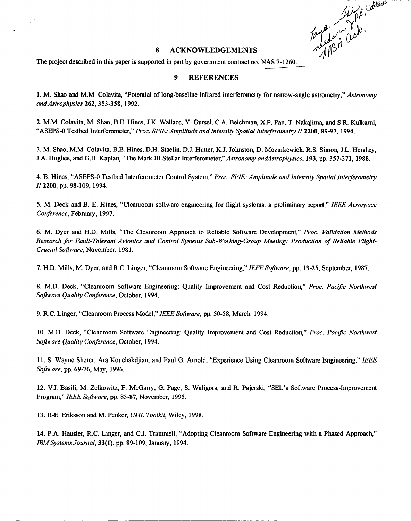The project described in this paper is supported in part by government contract no. NAS 7-1260.

#### 8 **ACKNOWLEDGEMENTS**

# 9 REFERENCES

1. M. Shao and M.M. Colavita, "Potential of long-baseline infrared interferometry for narrow-angle astrometry," *Astronomy andAstrophysics 262, 353-358,* 1992.

2. M.M. Colavita, M. Shao, B.E. Hines, J.K. Wallace, Y. Gursel, C.A. Beichman, X.P. Pan, T. Nakajima, and S.R. Kulkarni, "ASEPS41 Testbed Interferometer," *Proc. SPIE: Amplitude andlntensity Spatial InterferometryII 2200,89-97, 1994.*

3. M. Shao, M.M. Colavita, B.E. Hines, D.H. Staelin, D.J. Hutter, K.J. Johnston, D. Mozurkewich, R.S. Simon, J.L. Hershey, J.A. Hughes, and G.H. Kaplan, "The Mark III Stellar Interferometer," Astronomy andAstrophysics, 193, pp. 357-371, 1988.

4. B. Hines, "AS13PS-OTestbed Interferometer Control System," *Proc. SPIE: Amplitude and Intensity Spatial lnterferometiy ]~ 2200, pp. 98-109, 1994.*

5. M. Deck and B. E. Hines, "Cleanroom software engineering for flight systems: a preliminary report," *IEEE Aerospace Conference,* Febmary, 1997.

6. M. Dyer and H.D. Mills, "The Cleanroom Approach to Reliable Softww Development" *Proc. Validation Methods Research for Fault-Tolerant Avionics and Control Systems Sub- Working-Group Meeting: Production of Reliable F/ight-Crucial Sojlware,* November, 1981.

7. H.D. Mills, M. Dyer, and R.C. Linger, "Cleanroom Software Engineering," *IEEE Software*, pp. 19-25, September, 1987.

8. M.D. Deck, "Cleanmom Software Engineering: Quality Improvement and Cost Reduction; *Proc, Pacific Northwest Soflware Quality Conference,* October, 1994.

9. R.C. Linger, "Cleanroom Process Model," *IEEE SofMare,* pp. 50-58, March, 1994.

10. M.D. Deck, "Cleanroom Software Engineering: Quality Improvement and Cost Reduction," Proc. Pacific Northwest *Software Quality Conference, October, 1994.* 

11. S. Wayne Sherer, Ara Kouchakdjian, and Paul G. Arnold, "Experience Using Cleanroom Software Engineering; *IEEE Sojlware,* pp. 69-76, May, 1996.

12, V.I. Basili, M. Zelkowitz, F. McGarry, G. Page, S. Waligora, and R. Pajerski, "SEL's Software Process-Improvement Program: *IEEE &jhvare,* pp. 83-87, November, 1995.

13. H-E. Eriksson and M, Penker, *UML Toolkit,* Wiley, 1998,

14. P.A. Hausler, R.C. Linger, and C.J. Trammell, "Adopting Cleanroom Software Engineering with a Phased Approach," *IBM Systems Journal*, 33(1), pp. 89-109, January, 1994.